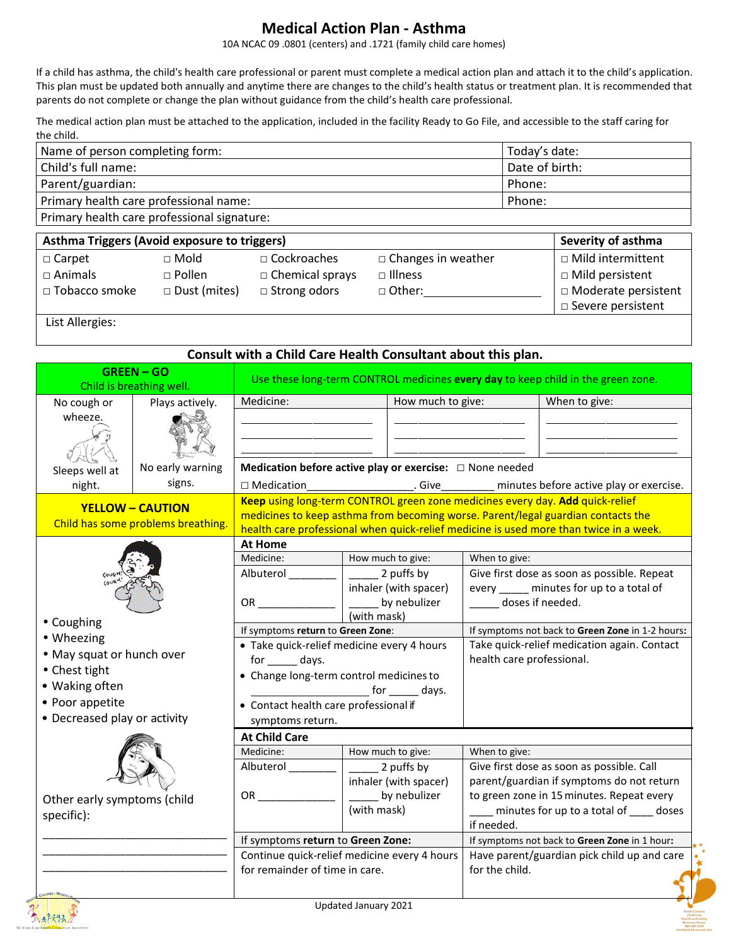## **Medical Action Plan - Asthma**

10A NCAC 09 .0801 (centers) and .1721 (family child care homes)

If a child has asthma, the child's health care professional or parent must complete a medical action plan and attach it to the child's application. This plan must be updated both annually and anytime there are changes to the child's health status or treatment plan. It is recommended that parents do not complete or change the plan without guidance from the child's health care professional.

The medical action plan must be attached to the application, included in the facility Ready to Go File, and accessible to the staff caring for the child.

| Name of person completing form:             | Today's date:  |
|---------------------------------------------|----------------|
| Child's full name:                          | Date of birth: |
| Parent/guardian:                            | Phone:         |
| Primary health care professional name:      | Phone:         |
| Primary health care professional signature: |                |

| Asthma Triggers (Avoid exposure to triggers) |                                  |                                              |                                             | Severity of asthma                                   |
|----------------------------------------------|----------------------------------|----------------------------------------------|---------------------------------------------|------------------------------------------------------|
| $\Box$ Carpet<br>$\square$ Animals           | $\sqcap$ Mold<br>$\sqcap$ Pollen | $\Box$ Cockroaches<br>$\Box$ Chemical sprays | $\Box$ Changes in weather<br>$\Box$ Illness | □ Mild intermittent<br>$\Box$ Mild persistent        |
| □ Tobacco smoke                              | $\Box$ Dust (mites)              | $\Box$ Strong odors                          | $\Box$ Other:                               | □ Moderate persistent<br>$\square$ Severe persistent |

List Allergies:

#### **Consult with a Child Care Health Consultant about this plan.**

|                                           | <b>GREEN-GO</b><br>Child is breathing well. | Use these long-term CONTROL medicines every day to keep child in the green zone. |                                                                                  |                                             |                                                                                        |
|-------------------------------------------|---------------------------------------------|----------------------------------------------------------------------------------|----------------------------------------------------------------------------------|---------------------------------------------|----------------------------------------------------------------------------------------|
| No cough or                               | Plays actively.                             | Medicine:                                                                        | How much to give:                                                                |                                             | When to give:                                                                          |
| wheeze.                                   |                                             |                                                                                  |                                                                                  |                                             |                                                                                        |
|                                           |                                             |                                                                                  |                                                                                  |                                             |                                                                                        |
| Sleeps well at                            | No early warning                            |                                                                                  | Medication before active play or exercise: $\Box$ None needed                    |                                             |                                                                                        |
| night.                                    | signs.                                      | $\Box$ Medication                                                                | . Give                                                                           |                                             | minutes before active play or exercise.                                                |
|                                           | <b>YELLOW - CAUTION</b>                     |                                                                                  | Keep using long-term CONTROL green zone medicines every day. Add quick-relief    |                                             |                                                                                        |
|                                           | Child has some problems breathing.          |                                                                                  | medicines to keep asthma from becoming worse. Parent/legal guardian contacts the |                                             | health care professional when quick-relief medicine is used more than twice in a week. |
|                                           |                                             | <b>At Home</b>                                                                   |                                                                                  |                                             |                                                                                        |
|                                           |                                             | Medicine:                                                                        | How much to give:                                                                | When to give:                               |                                                                                        |
|                                           |                                             | Albuterol                                                                        | 2 puffs by                                                                       |                                             | Give first dose as soon as possible. Repeat                                            |
|                                           |                                             |                                                                                  | inhaler (with spacer)                                                            |                                             | every _____ minutes for up to a total of                                               |
|                                           |                                             | OR D                                                                             | by nebulizer                                                                     | doses if needed.                            |                                                                                        |
| • Coughing                                |                                             | (with mask)<br>If symptoms return to Green Zone:                                 |                                                                                  |                                             | If symptoms not back to Green Zone in 1-2 hours:                                       |
| • Wheezing                                |                                             | · Take quick-relief medicine every 4 hours                                       |                                                                                  | Take quick-relief medication again. Contact |                                                                                        |
| . May squat or hunch over                 |                                             | for ______ days.                                                                 |                                                                                  | health care professional.                   |                                                                                        |
| • Chest tight                             |                                             | • Change long-term control medicines to                                          |                                                                                  |                                             |                                                                                        |
| • Waking often                            |                                             |                                                                                  |                                                                                  |                                             |                                                                                        |
| • Poor appetite                           |                                             | • Contact health care professional if                                            |                                                                                  |                                             |                                                                                        |
| • Decreased play or activity              |                                             | symptoms return.                                                                 |                                                                                  |                                             |                                                                                        |
|                                           | <b>At Child Care</b>                        |                                                                                  |                                                                                  |                                             |                                                                                        |
|                                           |                                             | Medicine:<br>Albuterol                                                           | How much to give:                                                                | When to give:                               | Give first dose as soon as possible. Call                                              |
|                                           |                                             |                                                                                  | 2 puffs by<br>inhaler (with spacer)                                              |                                             | parent/guardian if symptoms do not return                                              |
|                                           |                                             | OR                                                                               | by nebulizer                                                                     |                                             | to green zone in 15 minutes. Repeat every                                              |
| Other early symptoms (child<br>specific): |                                             |                                                                                  | (with mask)                                                                      |                                             | minutes for up to a total of ____ doses                                                |
|                                           |                                             |                                                                                  |                                                                                  | if needed.                                  |                                                                                        |
|                                           |                                             | If symptoms return to Green Zone:                                                |                                                                                  |                                             | If symptoms not back to Green Zone in 1 hour:                                          |
|                                           |                                             | Continue quick-relief medicine every 4 hours                                     |                                                                                  |                                             | Have parent/guardian pick child up and care                                            |
|                                           |                                             | for remainder of time in care.                                                   |                                                                                  | for the child.                              |                                                                                        |
|                                           |                                             |                                                                                  | Lladated January 2021                                                            |                                             |                                                                                        |